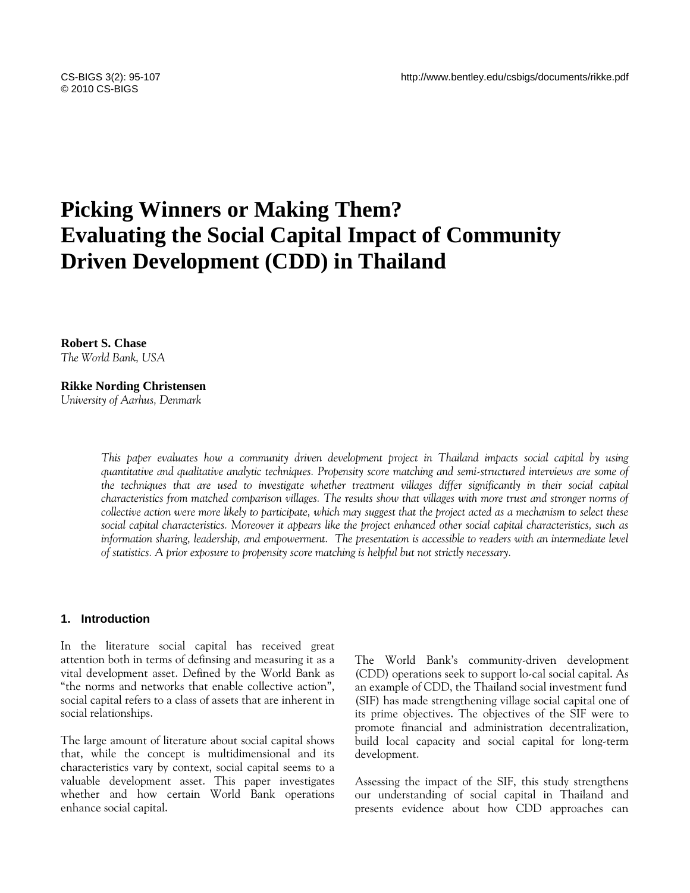# **Picking Winners or Making Them? Evaluating the Social Capital Impact of Community Driven Development (CDD) in Thailand**

**Robert S. Chase**  *The World Bank, USA* 

**Rikke Nording Christensen**  *University of Aarhus, Denmark* 

> *This paper evaluates how a community driven development project in Thailand impacts social capital by using quantitative and qualitative analytic techniques. Propensity score matching and semi-structured interviews are some of*  the techniques that are used to investigate whether treatment villages differ significantly in their social capital *characteristics from matched comparison villages. The results show that villages with more trust and stronger norms of collective action were more likely to participate, which may suggest that the project acted as a mechanism to select these social capital characteristics. Moreover it appears like the project enhanced other social capital characteristics, such as information sharing, leadership, and empowerment. The presentation is accessible to readers with an intermediate level of statistics. A prior exposure to propensity score matching is helpful but not strictly necessary.*

#### **1. Introduction**

In the literature social capital has received great attention both in terms of definsing and measuring it as a vital development asset. Defined by the World Bank as "the norms and networks that enable collective action", social capital refers to a class of assets that are inherent in social relationships.

The large amount of literature about social capital shows that, while the concept is multidimensional and its characteristics vary by context, social capital seems to a valuable development asset. This paper investigates whether and how certain World Bank operations enhance social capital.

The World Bank's community-driven development (CDD) operations seek to support lo-cal social capital. As an example of CDD, the Thailand social investment fund (SIF) has made strengthening village social capital one of its prime objectives. The objectives of the SIF were to promote financial and administration decentralization, build local capacity and social capital for long-term development.

Assessing the impact of the SIF, this study strengthens our understanding of social capital in Thailand and presents evidence about how CDD approaches can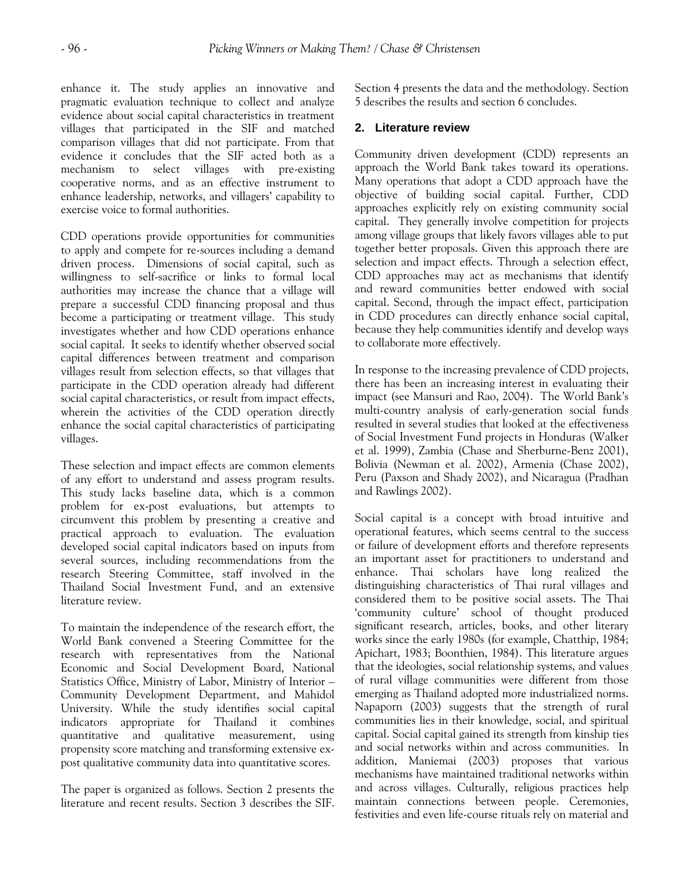enhance it. The study applies an innovative and pragmatic evaluation technique to collect and analyze evidence about social capital characteristics in treatment villages that participated in the SIF and matched comparison villages that did not participate. From that evidence it concludes that the SIF acted both as a mechanism to select villages with pre-existing cooperative norms, and as an effective instrument to enhance leadership, networks, and villagers' capability to exercise voice to formal authorities.

CDD operations provide opportunities for communities to apply and compete for re-sources including a demand driven process. Dimensions of social capital, such as willingness to self-sacrifice or links to formal local authorities may increase the chance that a village will prepare a successful CDD financing proposal and thus become a participating or treatment village. This study investigates whether and how CDD operations enhance social capital. It seeks to identify whether observed social capital differences between treatment and comparison villages result from selection effects, so that villages that participate in the CDD operation already had different social capital characteristics, or result from impact effects, wherein the activities of the CDD operation directly enhance the social capital characteristics of participating villages.

These selection and impact effects are common elements of any effort to understand and assess program results. This study lacks baseline data, which is a common problem for ex-post evaluations, but attempts to circumvent this problem by presenting a creative and practical approach to evaluation. The evaluation developed social capital indicators based on inputs from several sources, including recommendations from the research Steering Committee, staff involved in the Thailand Social Investment Fund, and an extensive literature review.

To maintain the independence of the research effort, the World Bank convened a Steering Committee for the research with representatives from the National Economic and Social Development Board, National Statistics Office, Ministry of Labor, Ministry of Interior – Community Development Department, and Mahidol University. While the study identifies social capital indicators appropriate for Thailand it combines quantitative and qualitative measurement, using propensity score matching and transforming extensive expost qualitative community data into quantitative scores.

The paper is organized as follows. Section 2 presents the literature and recent results. Section 3 describes the SIF. Section 4 presents the data and the methodology. Section 5 describes the results and section 6 concludes.

# **2. Literature review**

Community driven development (CDD) represents an approach the World Bank takes toward its operations. Many operations that adopt a CDD approach have the objective of building social capital. Further, CDD approaches explicitly rely on existing community social capital. They generally involve competition for projects among village groups that likely favors villages able to put together better proposals. Given this approach there are selection and impact effects. Through a selection effect, CDD approaches may act as mechanisms that identify and reward communities better endowed with social capital. Second, through the impact effect, participation in CDD procedures can directly enhance social capital, because they help communities identify and develop ways to collaborate more effectively.

In response to the increasing prevalence of CDD projects, there has been an increasing interest in evaluating their impact (see Mansuri and Rao, 2004). The World Bank's multi-country analysis of early-generation social funds resulted in several studies that looked at the effectiveness of Social Investment Fund projects in Honduras (Walker et al. 1999), Zambia (Chase and Sherburne-Benz 2001), Bolivia (Newman et al. 2002), Armenia (Chase 2002), Peru (Paxson and Shady 2002), and Nicaragua (Pradhan and Rawlings 2002).

Social capital is a concept with broad intuitive and operational features, which seems central to the success or failure of development efforts and therefore represents an important asset for practitioners to understand and enhance. Thai scholars have long realized the distinguishing characteristics of Thai rural villages and considered them to be positive social assets. The Thai 'community culture' school of thought produced significant research, articles, books, and other literary works since the early 1980s (for example, Chatthip, 1984; Apichart, 1983; Boonthien, 1984). This literature argues that the ideologies, social relationship systems, and values of rural village communities were different from those emerging as Thailand adopted more industrialized norms. Napaporn (2003) suggests that the strength of rural communities lies in their knowledge, social, and spiritual capital. Social capital gained its strength from kinship ties and social networks within and across communities. In addition, Maniemai (2003) proposes that various mechanisms have maintained traditional networks within and across villages. Culturally, religious practices help maintain connections between people. Ceremonies, festivities and even life-course rituals rely on material and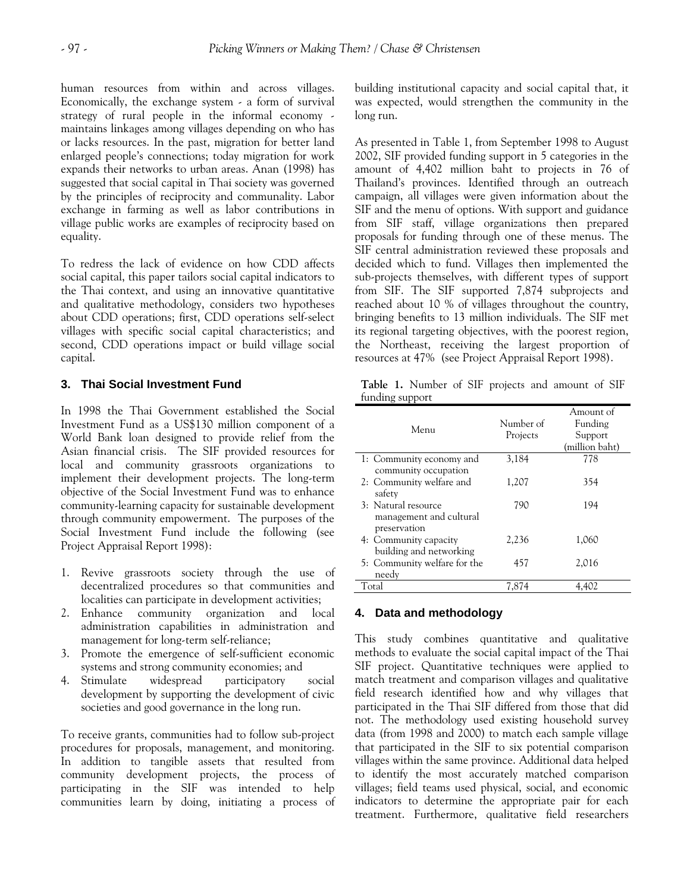human resources from within and across villages. Economically, the exchange system - a form of survival strategy of rural people in the informal economy maintains linkages among villages depending on who has or lacks resources. In the past, migration for better land enlarged people's connections; today migration for work expands their networks to urban areas. Anan (1998) has suggested that social capital in Thai society was governed by the principles of reciprocity and communality. Labor exchange in farming as well as labor contributions in village public works are examples of reciprocity based on equality.

To redress the lack of evidence on how CDD affects social capital, this paper tailors social capital indicators to the Thai context, and using an innovative quantitative and qualitative methodology, considers two hypotheses about CDD operations; first, CDD operations self-select villages with specific social capital characteristics; and second, CDD operations impact or build village social capital.

#### **3. Thai Social Investment Fund**

In 1998 the Thai Government established the Social Investment Fund as a US\$130 million component of a World Bank loan designed to provide relief from the Asian financial crisis. The SIF provided resources for local and community grassroots organizations to implement their development projects. The long-term objective of the Social Investment Fund was to enhance community-learning capacity for sustainable development through community empowerment. The purposes of the Social Investment Fund include the following (see Project Appraisal Report 1998):

- 1. Revive grassroots society through the use of decentralized procedures so that communities and localities can participate in development activities;
- 2. Enhance community organization and local administration capabilities in administration and management for long-term self-reliance;
- 3. Promote the emergence of self-sufficient economic systems and strong community economies; and
- 4. Stimulate widespread participatory social development by supporting the development of civic societies and good governance in the long run.

To receive grants, communities had to follow sub-project procedures for proposals, management, and monitoring. In addition to tangible assets that resulted from community development projects, the process of participating in the SIF was intended to help communities learn by doing, initiating a process of building institutional capacity and social capital that, it was expected, would strengthen the community in the long run.

As presented in Table 1, from September 1998 to August 2002, SIF provided funding support in 5 categories in the amount of 4,402 million baht to projects in 76 of Thailand's provinces. Identified through an outreach campaign, all villages were given information about the SIF and the menu of options. With support and guidance from SIF staff, village organizations then prepared proposals for funding through one of these menus. The SIF central administration reviewed these proposals and decided which to fund. Villages then implemented the sub-projects themselves, with different types of support from SIF. The SIF supported 7,874 subprojects and reached about 10 % of villages throughout the country, bringing benefits to 13 million individuals. The SIF met its regional targeting objectives, with the poorest region, the Northeast, receiving the largest proportion of resources at 47% (see Project Appraisal Report 1998).

**Table 1.** Number of SIF projects and amount of SIF funding support

| Menu                                                             | Number of<br>Projects | Amount of<br>Funding<br>Support<br>(million baht) |
|------------------------------------------------------------------|-----------------------|---------------------------------------------------|
| 1: Community economy and                                         | 3,184                 | 778                                               |
| community occupation<br>2: Community welfare and<br>safety       | 1,207                 | 354                                               |
| 3: Natural resource<br>management and cultural                   | 790                   | 194                                               |
| preservation<br>4: Community capacity<br>building and networking | 2,236                 | 1,060                                             |
| 5: Community welfare for the<br>needy                            | 457                   | 2,016                                             |
| Total                                                            | 7.874                 | 4.402                                             |

#### **4. Data and methodology**

This study combines quantitative and qualitative methods to evaluate the social capital impact of the Thai SIF project. Quantitative techniques were applied to match treatment and comparison villages and qualitative field research identified how and why villages that participated in the Thai SIF differed from those that did not. The methodology used existing household survey data (from 1998 and 2000) to match each sample village that participated in the SIF to six potential comparison villages within the same province. Additional data helped to identify the most accurately matched comparison villages; field teams used physical, social, and economic indicators to determine the appropriate pair for each treatment. Furthermore, qualitative field researchers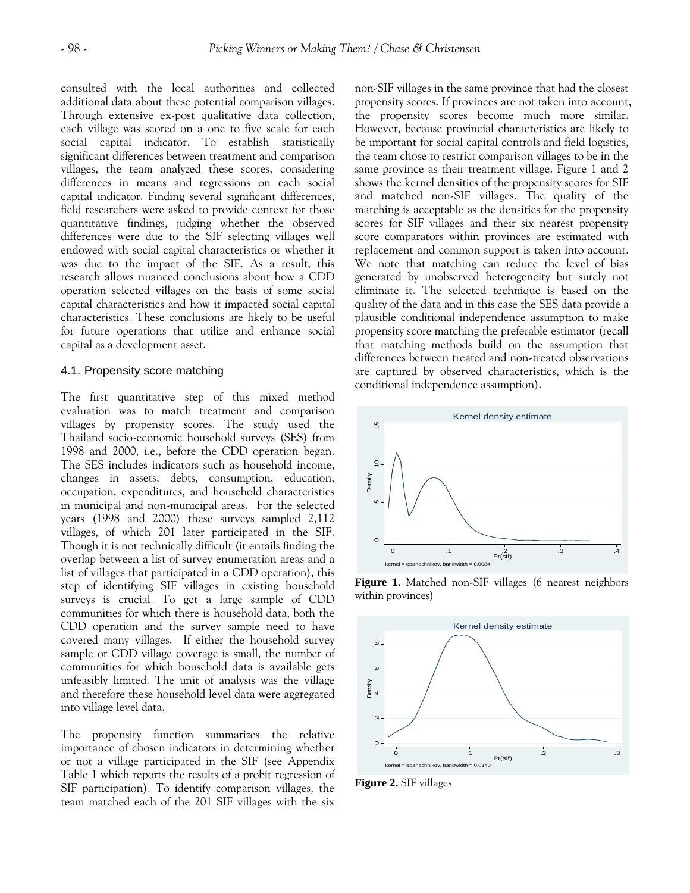consulted with the local authorities and collected additional data about these potential comparison villages. Through extensive ex-post qualitative data collection, each village was scored on a one to five scale for each social capital indicator. To establish statistically significant differences between treatment and comparison villages, the team analyzed these scores, considering differences in means and regressions on each social capital indicator. Finding several significant differences, field researchers were asked to provide context for those quantitative findings, judging whether the observed differences were due to the SIF selecting villages well endowed with social capital characteristics or whether it was due to the impact of the SIF. As a result, this research allows nuanced conclusions about how a CDD operation selected villages on the basis of some social capital characteristics and how it impacted social capital characteristics. These conclusions are likely to be useful for future operations that utilize and enhance social capital as a development asset.

#### 4.1. Propensity score matching

The first quantitative step of this mixed method evaluation was to match treatment and comparison villages by propensity scores. The study used the Thailand socio-economic household surveys (SES) from 1998 and 2000, i.e., before the CDD operation began. The SES includes indicators such as household income, changes in assets, debts, consumption, education, occupation, expenditures, and household characteristics in municipal and non-municipal areas. For the selected years (1998 and 2000) these surveys sampled 2,112 villages, of which 201 later participated in the SIF. Though it is not technically difficult (it entails finding the overlap between a list of survey enumeration areas and a list of villages that participated in a CDD operation), this step of identifying SIF villages in existing household surveys is crucial. To get a large sample of CDD communities for which there is household data, both the CDD operation and the survey sample need to have covered many villages. If either the household survey sample or CDD village coverage is small, the number of communities for which household data is available gets unfeasibly limited. The unit of analysis was the village and therefore these household level data were aggregated into village level data.

The propensity function summarizes the relative importance of chosen indicators in determining whether or not a village participated in the SIF (see Appendix Table 1 which reports the results of a probit regression of SIF participation). To identify comparison villages, the team matched each of the 201 SIF villages with the six non-SIF villages in the same province that had the closest propensity scores. If provinces are not taken into account, the propensity scores become much more similar. However, because provincial characteristics are likely to be important for social capital controls and field logistics, the team chose to restrict comparison villages to be in the same province as their treatment village. Figure 1 and 2 shows the kernel densities of the propensity scores for SIF and matched non-SIF villages. The quality of the matching is acceptable as the densities for the propensity scores for SIF villages and their six nearest propensity score comparators within provinces are estimated with replacement and common support is taken into account. We note that matching can reduce the level of bias generated by unobserved heterogeneity but surely not eliminate it. The selected technique is based on the quality of the data and in this case the SES data provide a plausible conditional independence assumption to make propensity score matching the preferable estimator (recall that matching methods build on the assumption that differences between treated and non-treated observations are captured by observed characteristics, which is the conditional independence assumption).



**Figure 1.** Matched non-SIF villages (6 nearest neighbors within provinces)



**Figure 2.** SIF villages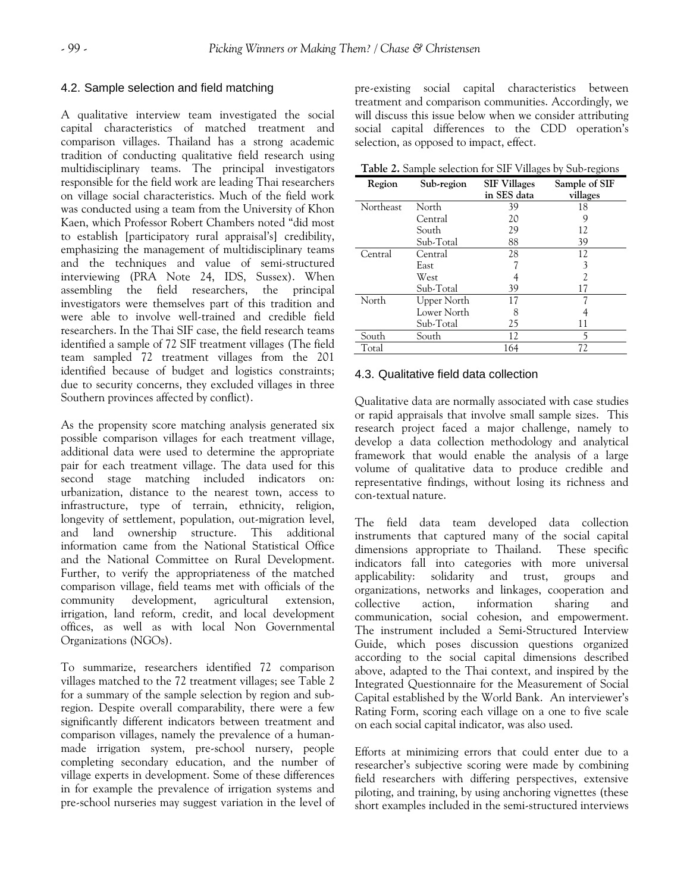## 4.2. Sample selection and field matching

A qualitative interview team investigated the social capital characteristics of matched treatment and comparison villages. Thailand has a strong academic tradition of conducting qualitative field research using multidisciplinary teams. The principal investigators responsible for the field work are leading Thai researchers on village social characteristics. Much of the field work was conducted using a team from the University of Khon Kaen, which Professor Robert Chambers noted "did most to establish [participatory rural appraisal's] credibility, emphasizing the management of multidisciplinary teams and the techniques and value of semi-structured interviewing (PRA Note 24, IDS, Sussex). When assembling the field researchers, the principal investigators were themselves part of this tradition and were able to involve well-trained and credible field researchers. In the Thai SIF case, the field research teams identified a sample of 72 SIF treatment villages (The field team sampled 72 treatment villages from the 201 identified because of budget and logistics constraints; due to security concerns, they excluded villages in three Southern provinces affected by conflict).

As the propensity score matching analysis generated six possible comparison villages for each treatment village, additional data were used to determine the appropriate pair for each treatment village. The data used for this second stage matching included indicators on: urbanization, distance to the nearest town, access to infrastructure, type of terrain, ethnicity, religion, longevity of settlement, population, out-migration level, and land ownership structure. This additional information came from the National Statistical Office and the National Committee on Rural Development. Further, to verify the appropriateness of the matched comparison village, field teams met with officials of the community development, agricultural extension, irrigation, land reform, credit, and local development offices, as well as with local Non Governmental Organizations (NGOs).

To summarize, researchers identified 72 comparison villages matched to the 72 treatment villages; see Table 2 for a summary of the sample selection by region and subregion. Despite overall comparability, there were a few significantly different indicators between treatment and comparison villages, namely the prevalence of a humanmade irrigation system, pre-school nursery, people completing secondary education, and the number of village experts in development. Some of these differences in for example the prevalence of irrigation systems and pre-school nurseries may suggest variation in the level of pre-existing social capital characteristics between treatment and comparison communities. Accordingly, we will discuss this issue below when we consider attributing social capital differences to the CDD operation's selection, as opposed to impact, effect.

**Table 2.** Sample selection for SIF Villages by Sub-regions

| Region    | Sub-region  | <b>SIF Villages</b><br>in SES data | Sample of SIF<br>villages |
|-----------|-------------|------------------------------------|---------------------------|
| Northeast | North       | 39                                 | 18                        |
|           | Central     | 20                                 | 9                         |
|           | South       | 29                                 | 12                        |
|           | Sub-Total   | 88                                 | 39                        |
| Central   | Central     | 28                                 | 12                        |
|           | East        |                                    | 3                         |
|           | West        |                                    |                           |
|           | Sub-Total   | 39                                 | 17                        |
| North     | Upper North | 17                                 |                           |
|           | Lower North | 8                                  |                           |
|           | Sub-Total   | 25                                 | 11                        |
| South     | South       | 12                                 |                           |
| Total     |             | 164                                | 72                        |

## 4.3. Qualitative field data collection

Qualitative data are normally associated with case studies or rapid appraisals that involve small sample sizes. This research project faced a major challenge, namely to develop a data collection methodology and analytical framework that would enable the analysis of a large volume of qualitative data to produce credible and representative findings, without losing its richness and con-textual nature.

The field data team developed data collection instruments that captured many of the social capital dimensions appropriate to Thailand. These specific indicators fall into categories with more universal applicability: solidarity and trust, groups and organizations, networks and linkages, cooperation and collective action, information sharing and communication, social cohesion, and empowerment. The instrument included a Semi-Structured Interview Guide, which poses discussion questions organized according to the social capital dimensions described above, adapted to the Thai context, and inspired by the Integrated Questionnaire for the Measurement of Social Capital established by the World Bank. An interviewer's Rating Form, scoring each village on a one to five scale on each social capital indicator, was also used.

Efforts at minimizing errors that could enter due to a researcher's subjective scoring were made by combining field researchers with differing perspectives, extensive piloting, and training, by using anchoring vignettes (these short examples included in the semi-structured interviews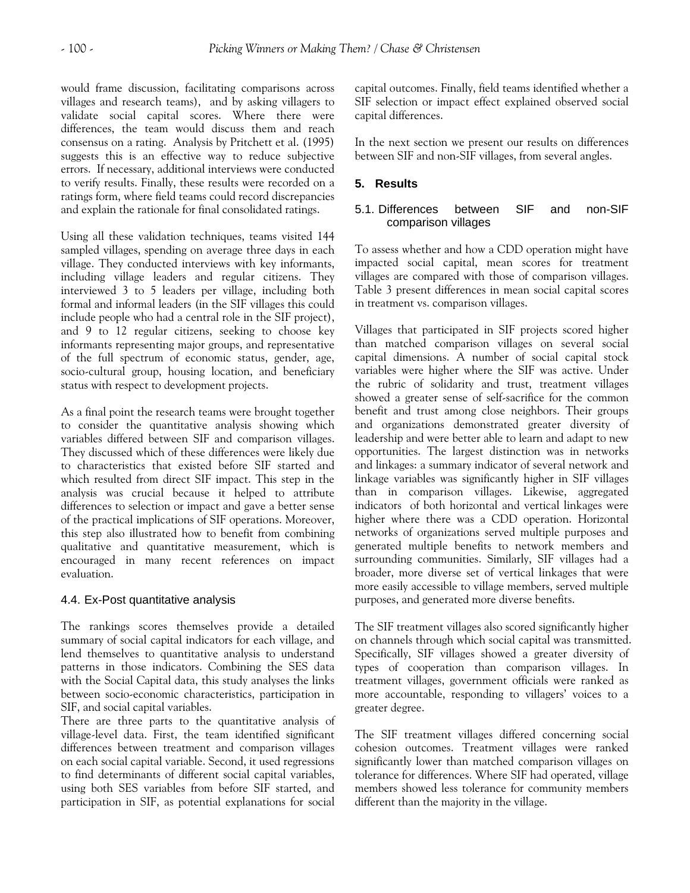would frame discussion, facilitating comparisons across villages and research teams), and by asking villagers to validate social capital scores. Where there were differences, the team would discuss them and reach consensus on a rating. Analysis by Pritchett et al. (1995) suggests this is an effective way to reduce subjective errors. If necessary, additional interviews were conducted to verify results. Finally, these results were recorded on a ratings form, where field teams could record discrepancies and explain the rationale for final consolidated ratings.

Using all these validation techniques, teams visited 144 sampled villages, spending on average three days in each village. They conducted interviews with key informants, including village leaders and regular citizens. They interviewed 3 to 5 leaders per village, including both formal and informal leaders (in the SIF villages this could include people who had a central role in the SIF project), and 9 to 12 regular citizens, seeking to choose key informants representing major groups, and representative of the full spectrum of economic status, gender, age, socio-cultural group, housing location, and beneficiary status with respect to development projects.

As a final point the research teams were brought together to consider the quantitative analysis showing which variables differed between SIF and comparison villages. They discussed which of these differences were likely due to characteristics that existed before SIF started and which resulted from direct SIF impact. This step in the analysis was crucial because it helped to attribute differences to selection or impact and gave a better sense of the practical implications of SIF operations. Moreover, this step also illustrated how to benefit from combining qualitative and quantitative measurement, which is encouraged in many recent references on impact evaluation.

# 4.4. Ex-Post quantitative analysis

The rankings scores themselves provide a detailed summary of social capital indicators for each village, and lend themselves to quantitative analysis to understand patterns in those indicators. Combining the SES data with the Social Capital data, this study analyses the links between socio-economic characteristics, participation in SIF, and social capital variables.

There are three parts to the quantitative analysis of village-level data. First, the team identified significant differences between treatment and comparison villages on each social capital variable. Second, it used regressions to find determinants of different social capital variables, using both SES variables from before SIF started, and participation in SIF, as potential explanations for social

capital outcomes. Finally, field teams identified whether a SIF selection or impact effect explained observed social capital differences.

In the next section we present our results on differences between SIF and non-SIF villages, from several angles.

# **5. Results**

# 5.1. Differences between SIF and non-SIF comparison villages

To assess whether and how a CDD operation might have impacted social capital, mean scores for treatment villages are compared with those of comparison villages. Table 3 present differences in mean social capital scores in treatment vs. comparison villages.

Villages that participated in SIF projects scored higher than matched comparison villages on several social capital dimensions. A number of social capital stock variables were higher where the SIF was active. Under the rubric of solidarity and trust, treatment villages showed a greater sense of self-sacrifice for the common benefit and trust among close neighbors. Their groups and organizations demonstrated greater diversity of leadership and were better able to learn and adapt to new opportunities. The largest distinction was in networks and linkages: a summary indicator of several network and linkage variables was significantly higher in SIF villages than in comparison villages. Likewise, aggregated indicators of both horizontal and vertical linkages were higher where there was a CDD operation. Horizontal networks of organizations served multiple purposes and generated multiple benefits to network members and surrounding communities. Similarly, SIF villages had a broader, more diverse set of vertical linkages that were more easily accessible to village members, served multiple purposes, and generated more diverse benefits.

The SIF treatment villages also scored significantly higher on channels through which social capital was transmitted. Specifically, SIF villages showed a greater diversity of types of cooperation than comparison villages. In treatment villages, government officials were ranked as more accountable, responding to villagers' voices to a greater degree.

The SIF treatment villages differed concerning social cohesion outcomes. Treatment villages were ranked significantly lower than matched comparison villages on tolerance for differences. Where SIF had operated, village members showed less tolerance for community members different than the majority in the village.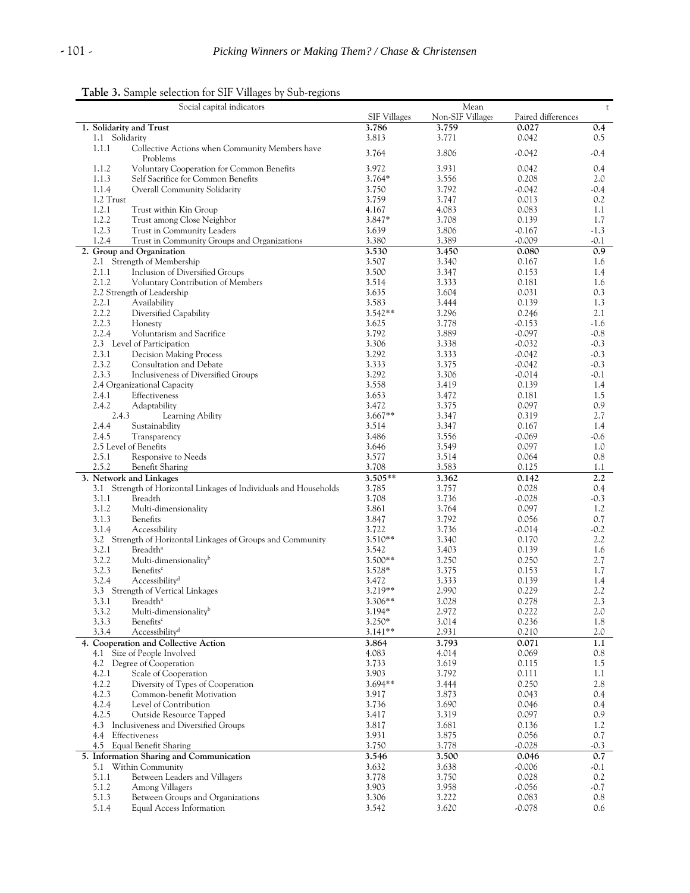**Table 3.** Sample selection for SIF Villages by Sub-regions

| Social capital indicators                                         |                     | Mean             |                    | $\sf t$ |
|-------------------------------------------------------------------|---------------------|------------------|--------------------|---------|
|                                                                   | <b>SIF Villages</b> | Non-SIF Villages | Paired differences |         |
| 1. Solidarity and Trust                                           | 3.786               | 3.759            | 0.027              | 0.4     |
| 1.1 Solidarity                                                    | 3.813               | 3.771            | 0.042              | 0.5     |
| 1.1.1<br>Collective Actions when Community Members have           |                     |                  |                    |         |
| Problems                                                          | 3.764               | 3.806            | $-0.042$           | -0.4    |
| 1.1.2<br>Voluntary Cooperation for Common Benefits                | 3.972               | 3.931            | 0.042              | 0.4     |
| 1.1.3<br>Self Sacrifice for Common Benefits                       | $3.764*$            | 3.556            | 0.208              | 2.0     |
| 1.1.4<br>Overall Community Solidarity                             | 3.750               | 3.792            | $-0.042$           | -0.4    |
| 1.2 Trust                                                         | 3.759               | 3.747            | 0.013              | 0.2     |
| 1.2.1                                                             |                     |                  |                    |         |
| Trust within Kin Group                                            | 4.167               | 4.083            | 0.083              | 1.1     |
| 1.2.2<br>Trust among Close Neighbor                               | 3.847*              | 3.708            | 0.139              | 1.7     |
| 1.2.3<br>Trust in Community Leaders                               | 3.639               | 3.806            | $-0.167$           | $-1.3$  |
| 1.2.4<br>Trust in Community Groups and Organizations              | 3.380               | 3.389            | $-0.009$           | $-0.1$  |
| 2. Group and Organization                                         | 3.530               | 3.450            | 0.080              | 0.9     |
| 2.1 Strength of Membership                                        | 3.507               | 3.340            | 0.167              | 1.6     |
| Inclusion of Diversified Groups<br>2.1.1                          | 3.500               | 3.347            | 0.153              | 1.4     |
| 2.1.2<br>Voluntary Contribution of Members                        | 3.514               | 3.333            | 0.181              | 1.6     |
| 2.2 Strength of Leadership                                        | 3.635               | 3.604            | 0.031              | 0.3     |
| 2.2.1<br>Availability                                             | 3.583               | 3.444            | 0.139              | 1.3     |
| 2.2.2<br>Diversified Capability                                   | $3.542**$           | 3.296            | 0.246              | 2.1     |
| 2.2.3<br>Honesty                                                  | 3.625               | 3.778            | $-0.153$           | $-1.6$  |
| 2.2.4<br>Voluntarism and Sacrifice                                | 3.792               | 3.889            | $-0.097$           | $-0.8$  |
|                                                                   |                     |                  |                    |         |
| 2.3 Level of Participation                                        | 3.306               | 3.338            | $-0.032$           | $-0.3$  |
| 2.3.1<br><b>Decision Making Process</b>                           | 3.292               | 3.333            | $-0.042$           | $-0.3$  |
| 2.3.2<br>Consultation and Debate                                  | 3.333               | 3.375            | $-0.042$           | $-0.3$  |
| 2.3.3<br>Inclusiveness of Diversified Groups                      | 3.292               | 3.306            | $-0.014$           | $-0.1$  |
| 2.4 Organizational Capacity                                       | 3.558               | 3.419            | 0.139              | $1.4\,$ |
| 2.4.1<br>Effectiveness                                            | 3.653               | 3.472            | 0.181              | $1.5\,$ |
| 2.4.2<br>Adaptability                                             | 3.472               | 3.375            | 0.097              | 0.9     |
| 2.4.3<br>Learning Ability                                         | $3.667**$           | 3.347            | 0.319              | 2.7     |
| 2.4.4<br>Sustainability                                           | 3.514               | 3.347            | 0.167              | 1.4     |
| 2.4.5<br>Transparency                                             | 3.486               | 3.556            | $-0.069$           | -0.6    |
| 2.5 Level of Benefits                                             |                     | 3.549            | 0.097              | 1.0     |
|                                                                   | 3.646               |                  |                    |         |
| 2.5.1<br>Responsive to Needs                                      | 3.577               | 3.514            | 0.064              | 0.8     |
| 2.5.2<br><b>Benefit Sharing</b>                                   | 3.708               | 3.583            | 0.125              | 1.1     |
| 3. Network and Linkages                                           | 3.505**             | 3.362            | 0.142              | 2.2     |
| 3.1 Strength of Horizontal Linkages of Individuals and Households | 3.785               | 3.757            | 0.028              | 0.4     |
| 3.1.1<br>Breadth                                                  | 3.708               | 3.736            | $-0.028$           | $-0.3$  |
| 3.1.2<br>Multi-dimensionality                                     | 3.861               | 3.764            | 0.097              | 1.2     |
| 3.1.3<br>Benefits                                                 | 3.847               | 3.792            | 0.056              | 0.7     |
| 3.1.4<br>Accessibility                                            | 3.722               | 3.736            | $-0.014$           | $-0.2$  |
| 3.2 Strength of Horizontal Linkages of Groups and Community       | $3.510**$           | 3.340            | 0.170              | 2.2     |
| 3.2.1<br>Breadth <sup>a</sup>                                     | 3.542               | 3.403            | 0.139              | 1.6     |
| 3.2.2<br>Multi-dimensionality <sup>b</sup>                        | 3.500**             | 3.250            | 0.250              | 2.7     |
| 3.2.3<br>Benefits <sup>c</sup>                                    | 3.528*              | 3.375            | 0.153              | 1.7     |
|                                                                   |                     |                  |                    |         |
| 3.2.4<br>Accessibility <sup>d</sup>                               | 3.472               | 3.333            | 0.139              | 1.4     |
| 3.3 Strength of Vertical Linkages                                 | $3.219**$           | 2.990            | 0.229              | 2.2     |
| 3.3.1<br>Breadth <sup>a</sup>                                     | 3.306**             | 3.028            | 0.278              | 2.3     |
| Multi-dimensionality <sup>b</sup><br>3.3.2                        | $3.194*$            | 2.972            | 0.222              | 2.0     |
| 3.3.3<br>Benefits <sup>c</sup>                                    | $3.250*$            | 3.014            | 0.236              | 1.8     |
| Accessibility <sup>d</sup><br>3.3.4                               | $3.141**$           | 2.931            | 0.210              | 2.0     |
| 4. Cooperation and Collective Action                              | 3.864               | 3.793            | 0.071              | 1.1     |
| 4.1 Size of People Involved                                       | 4.083               | 4.014            | 0.069              | 0.8     |
| 4.2 Degree of Cooperation                                         | 3.733               | 3.619            | 0.115              | 1.5     |
| 4.2.1<br>Scale of Cooperation                                     | 3.903               | 3.792            | 0.111              | 1.1     |
| 4.2.2<br>Diversity of Types of Cooperation                        | $3.694**$           | 3.444            | 0.250              | 2.8     |
| 4.2.3<br>Common-benefit Motivation                                | 3.917               | 3.873            | 0.043              | 0.4     |
| 4.2.4<br>Level of Contribution                                    | 3.736               | 3.690            |                    |         |
|                                                                   |                     |                  | 0.046              | 0.4     |
| 4.2.5<br>Outside Resource Tapped                                  | 3.417               | 3.319            | 0.097              | 0.9     |
| 4.3 Inclusiveness and Diversified Groups                          | 3.817               | 3.681            | 0.136              | 1.2     |
| 4.4 Effectiveness                                                 | 3.931               | 3.875            | 0.056              | 0.7     |
| 4.5 Equal Benefit Sharing                                         | 3.750               | 3.778            | $-0.028$           | $-0.3$  |
| 5. Information Sharing and Communication                          | 3.546               | 3.500            | 0.046              | 0.7     |
| 5.1 Within Community                                              | 3.632               | 3.638            | $-0.006$           | $-0.1$  |
| 5.1.1<br>Between Leaders and Villagers                            | 3.778               | 3.750            | 0.028              | 0.2     |
| 5.1.2<br>Among Villagers                                          | 3.903               | 3.958            | $-0.056$           | $-0.7$  |
| 5.1.3<br>Between Groups and Organizations                         | 3.306               | 3.222            | 0.083              | 0.8     |
| 5.1.4<br>Equal Access Information                                 | 3.542               | 3.620            | -0.078             | 0.6     |
|                                                                   |                     |                  |                    |         |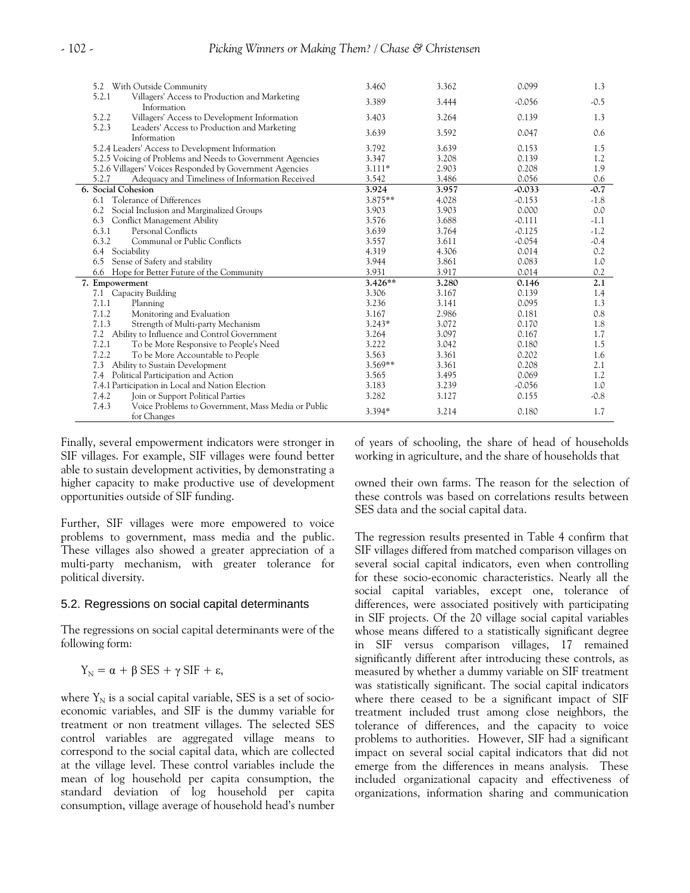| 5.2 With Outside Community                                                 | 3.460     | 3.362 | 0.099    | 1.3    |
|----------------------------------------------------------------------------|-----------|-------|----------|--------|
| 5.2.1<br>Villagers' Access to Production and Marketing<br>Information      | 3.389     | 3.444 | $-0.056$ | $-0.5$ |
| Villagers' Access to Development Information<br>5.2.2                      | 3.403     | 3.264 | 0.139    | 1.3    |
| 5.2.3<br>Leaders' Access to Production and Marketing<br>Information        | 3.639     | 3.592 | 0.047    | 0.6    |
| 5.2.4 Leaders' Access to Development Information                           | 3.792     | 3.639 | 0.153    | 1.5    |
| 5.2.5 Voicing of Problems and Needs to Government Agencies                 | 3.347     | 3.208 | 0.139    | 1.2    |
| 5.2.6 Villagers' Voices Responded by Government Agencies                   | $3.111*$  | 2.903 | 0.208    | 1.9    |
| 5.2.7<br>Adequacy and Timeliness of Information Received                   | 3.542     | 3.486 | 0.056    | 0.6    |
| 6. Social Cohesion                                                         | 3.924     | 3.957 | $-0.033$ | $-0.7$ |
| Tolerance of Differences<br>6.1                                            | $3.875**$ | 4.028 | $-0.153$ | $-1.8$ |
| 6.2 Social Inclusion and Marginalized Groups                               | 3.903     | 3.903 | 0.000    | 0.0    |
| 6.3 Conflict Management Ability                                            | 3.576     | 3.688 | $-0.111$ | $-1.1$ |
| 6.3.1<br>Personal Conflicts                                                | 3.639     | 3.764 | $-0.125$ | $-1.2$ |
| 6.3.2<br>Communal or Public Conflicts                                      | 3.557     | 3.611 | $-0.054$ | $-0.4$ |
| Sociability<br>6.4                                                         | 4.319     | 4.306 | 0.014    | 0.2    |
| Sense of Safety and stability<br>6.5                                       | 3.944     | 3.861 | 0.083    | 1.0    |
| 6.6 Hope for Better Future of the Community                                | 3.931     | 3.917 | 0.014    | 0.2    |
| 7. Empowerment                                                             | $3.426**$ | 3.280 | 0.146    | 2.1    |
| 7.1 Capacity Building                                                      | 3.306     | 3.167 | 0.139    | 1.4    |
| 7.1.1<br>Planning                                                          | 3.236     | 3.141 | 0.095    | 1.3    |
| 7.1.2<br>Monitoring and Evaluation                                         | 3.167     | 2.986 | 0.181    | 0.8    |
| 7.1.3<br>Strength of Multi-party Mechanism                                 | $3.243*$  | 3.072 | 0.170    | 1.8    |
| 7.2<br>Ability to Influence and Control Government                         | 3.264     | 3.097 | 0.167    | 1.7    |
| 7.2.1<br>To be More Responsive to People's Need                            | 3.222     | 3.042 | 0.180    | 1.5    |
| 7.2.2<br>To be More Accountable to People                                  | 3.563     | 3.361 | 0.202    | 1.6    |
| 7.3<br>Ability to Sustain Development                                      | $3.569**$ | 3.361 | 0.208    | 2.1    |
| Political Participation and Action<br>7.4                                  | 3.565     | 3.495 | 0.069    | 1.2    |
| 7.4.1 Participation in Local and Nation Election                           | 3.183     | 3.239 | $-0.056$ | 1.0    |
| Join or Support Political Parties<br>7.4.2                                 | 3.282     | 3.127 | 0.155    | $-0.8$ |
| 7.4.3<br>Voice Problems to Government, Mass Media or Public<br>for Changes | 3.394*    | 3.214 | 0.180    | 1.7    |

Finally, several empowerment indicators were stronger in SIF villages. For example, SIF villages were found better able to sustain development activities, by demonstrating a higher capacity to make productive use of development opportunities outside of SIF funding.

Further, SIF villages were more empowered to voice problems to government, mass media and the public. These villages also showed a greater appreciation of a multi-party mechanism, with greater tolerance for political diversity.

#### 5.2. Regressions on social capital determinants

The regressions on social capital determinants were of the following form:

$$
Y_N = \alpha + \beta \text{ SES} + \gamma \text{ SIF} + \varepsilon,
$$

where  $Y_N$  is a social capital variable, SES is a set of socioeconomic variables, and SIF is the dummy variable for treatment or non treatment villages. The selected SES control variables are aggregated village means to correspond to the social capital data, which are collected at the village level. These control variables include the mean of log household per capita consumption, the standard deviation of log household per capita consumption, village average of household head's number of years of schooling, the share of head of households working in agriculture, and the share of households that

owned their own farms. The reason for the selection of these controls was based on correlations results between SES data and the social capital data.

The regression results presented in Table 4 confirm that SIF villages differed from matched comparison villages on several social capital indicators, even when controlling for these socio-economic characteristics. Nearly all the social capital variables, except one, tolerance of differences, were associated positively with participating in SIF projects. Of the 20 village social capital variables whose means differed to a statistically significant degree in SIF versus comparison villages, 17 remained significantly different after introducing these controls, as measured by whether a dummy variable on SIF treatment was statistically significant. The social capital indicators where there ceased to be a significant impact of SIF treatment included trust among close neighbors, the tolerance of differences, and the capacity to voice problems to authorities. However, SIF had a significant impact on several social capital indicators that did not emerge from the differences in means analysis. These included organizational capacity and effectiveness of organizations, information sharing and communication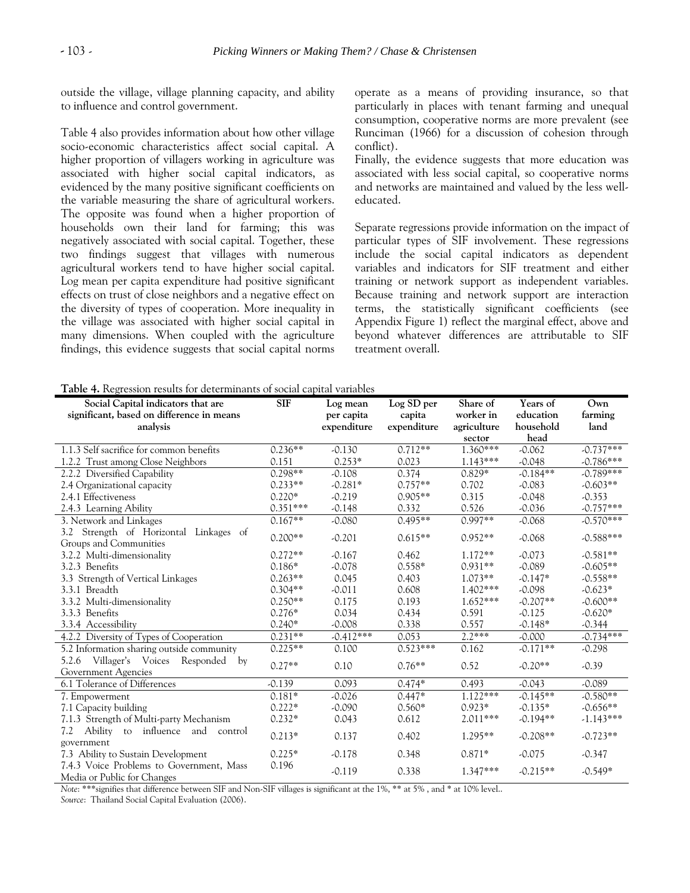outside the village, village planning capacity, and ability to influence and control government.

Table 4 also provides information about how other village socio-economic characteristics affect social capital. A higher proportion of villagers working in agriculture was associated with higher social capital indicators, as evidenced by the many positive significant coefficients on the variable measuring the share of agricultural workers. The opposite was found when a higher proportion of households own their land for farming; this was negatively associated with social capital. Together, these two findings suggest that villages with numerous agricultural workers tend to have higher social capital. Log mean per capita expenditure had positive significant effects on trust of close neighbors and a negative effect on the diversity of types of cooperation. More inequality in the village was associated with higher social capital in many dimensions. When coupled with the agriculture findings, this evidence suggests that social capital norms operate as a means of providing insurance, so that particularly in places with tenant farming and unequal consumption, cooperative norms are more prevalent (see Runciman (1966) for a discussion of cohesion through conflict).

Finally, the evidence suggests that more education was associated with less social capital, so cooperative norms and networks are maintained and valued by the less welleducated.

Separate regressions provide information on the impact of particular types of SIF involvement. These regressions include the social capital indicators as dependent variables and indicators for SIF treatment and either training or network support as independent variables. Because training and network support are interaction terms, the statistically significant coefficients (see Appendix Figure 1) reflect the marginal effect, above and beyond whatever differences are attributable to SIF treatment overall.

**Table 4.** Regression results for determinants of social capital variables

| Social Capital indicators that are<br>significant, based on difference in means<br>analysis | <b>SIF</b> | Log mean<br>per capita<br>expenditure | Log SD per<br>capita<br>expenditure | Share of<br>worker in<br>agriculture | Years of<br>education<br>household | Own<br>farming<br>land |
|---------------------------------------------------------------------------------------------|------------|---------------------------------------|-------------------------------------|--------------------------------------|------------------------------------|------------------------|
|                                                                                             |            |                                       |                                     | sector                               | head                               |                        |
| 1.1.3 Self sacrifice for common benefits                                                    | $0.236**$  | $-0.130$                              | $0.712**$                           | 1.360***                             | $-0.062$                           | $-0.737***$            |
| 1.2.2 Trust among Close Neighbors                                                           | 0.151      | $0.253*$                              | 0.023                               | $1.143***$                           | $-0.048$                           | $-0.786***$            |
| 2.2.2 Diversified Capability                                                                | $0.298**$  | $-0.108$                              | 0.374                               | $0.829*$                             | $-0.184**$                         | $-0.789***$            |
| 2.4 Organizational capacity                                                                 | $0.233**$  | $-0.281*$                             | $0.757**$                           | 0.702                                | $-0.083$                           | $-0.603**$             |
| 2.4.1 Effectiveness                                                                         | $0.220*$   | $-0.219$                              | $0.905**$                           | 0.315                                | $-0.048$                           | $-0.353$               |
| 2.4.3 Learning Ability                                                                      | $0.351***$ | $-0.148$                              | 0.332                               | 0.526                                | $-0.036$                           | $-0.757***$            |
| 3. Network and Linkages                                                                     | $0.167**$  | $-0.080$                              | $0.495**$                           | $0.997**$                            | $-0.068$                           | $-0.570***$            |
| 3.2 Strength of Horizontal Linkages of<br>Groups and Communities                            | $0.200**$  | $-0.201$                              | $0.615**$                           | $0.952**$                            | $-0.068$                           | $-0.588***$            |
| 3.2.2 Multi-dimensionality                                                                  | $0.272**$  | $-0.167$                              | 0.462                               | $1.172**$                            | $-0.073$                           | $-0.581**$             |
| 3.2.3 Benefits                                                                              | $0.186*$   | $-0.078$                              | $0.558*$                            | $0.931**$                            | $-0.089$                           | $-0.605**$             |
| 3.3 Strength of Vertical Linkages                                                           | $0.263**$  | 0.045                                 | 0.403                               | $1.073**$                            | $-0.147*$                          | $-0.558**$             |
| 3.3.1 Breadth                                                                               | $0.304**$  | $-0.011$                              | 0.608                               | 1.402***                             | $-0.098$                           | $-0.623*$              |
| 3.3.2 Multi-dimensionality                                                                  | $0.250**$  | 0.175                                 | 0.193                               | $1.652***$                           | $-0.207**$                         | $-0.600**$             |
| 3.3.3 Benefits                                                                              | $0.276*$   | 0.034                                 | 0.434                               | 0.591                                | $-0.125$                           | $-0.620*$              |
| 3.3.4 Accessibility                                                                         | $0.240*$   | $-0.008$                              | 0.338                               | 0.557                                | $-0.148*$                          | $-0.344$               |
| 4.2.2 Diversity of Types of Cooperation                                                     | $0.231**$  | $-0.412***$                           | 0.053                               | $2.2***$                             | $-0.000$                           | $-0.734***$            |
| 5.2 Information sharing outside community                                                   | $0.225**$  | 0.100                                 | $0.523***$                          | 0.162                                | $-0.171**$                         | $-0.298$               |
| 5.2.6 Villager's Voices Responded<br>by<br>Government Agencies                              | $0.27**$   | 0.10                                  | $0.76**$                            | 0.52                                 | $-0.20**$                          | $-0.39$                |
| 6.1 Tolerance of Differences                                                                | $-0.139$   | 0.093                                 | $0.474*$                            | 0.493                                | $-0.043$                           | $-0.089$               |
| 7. Empowerment                                                                              | $0.181*$   | $-0.026$                              | $0.447*$                            | $1.122***$                           | $-0.145**$                         | $-0.580**$             |
| 7.1 Capacity building                                                                       | $0.222*$   | $-0.090$                              | $0.560*$                            | $0.923*$                             | $-0.135*$                          | $-0.656**$             |
| 7.1.3 Strength of Multi-party Mechanism                                                     | $0.232*$   | 0.043                                 | 0.612                               | $2.011***$                           | $-0.194**$                         | $-1.143***$            |
| Ability to influence and control<br>7.2<br>government                                       | $0.213*$   | 0.137                                 | 0.402                               | $1.295**$                            | $-0.208**$                         | $-0.723**$             |
| 7.3 Ability to Sustain Development                                                          | $0.225*$   | $-0.178$                              | 0.348                               | $0.871*$                             | $-0.075$                           | $-0.347$               |
| 7.4.3 Voice Problems to Government, Mass<br>Media or Public for Changes                     | 0.196      | $-0.119$                              | 0.338                               | 1.347***                             | $-0.215**$                         | $-0.549*$              |

*Note*: \*\*\*signifies that difference between SIF and Non-SIF villages is significant at the 1%, \*\* at 5% , and \* at 10% level..

*Source*: Thailand Social Capital Evaluation (2006).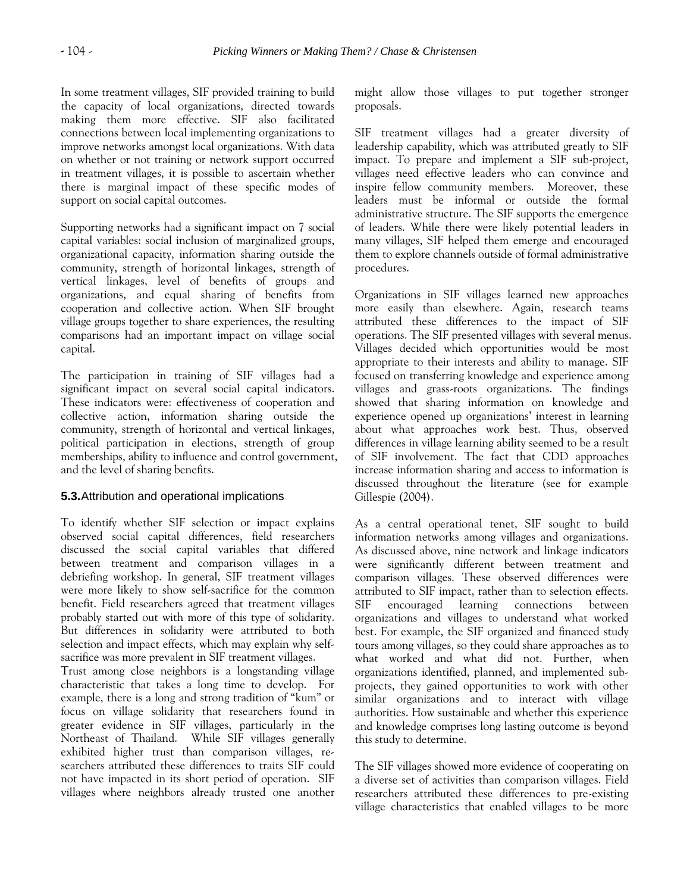In some treatment villages, SIF provided training to build the capacity of local organizations, directed towards making them more effective. SIF also facilitated connections between local implementing organizations to improve networks amongst local organizations. With data on whether or not training or network support occurred in treatment villages, it is possible to ascertain whether there is marginal impact of these specific modes of support on social capital outcomes.

Supporting networks had a significant impact on 7 social capital variables: social inclusion of marginalized groups, organizational capacity, information sharing outside the community, strength of horizontal linkages, strength of vertical linkages, level of benefits of groups and organizations, and equal sharing of benefits from cooperation and collective action. When SIF brought village groups together to share experiences, the resulting comparisons had an important impact on village social capital.

The participation in training of SIF villages had a significant impact on several social capital indicators. These indicators were: effectiveness of cooperation and collective action, information sharing outside the community, strength of horizontal and vertical linkages, political participation in elections, strength of group memberships, ability to influence and control government, and the level of sharing benefits.

# **5.3.**Attribution and operational implications

To identify whether SIF selection or impact explains observed social capital differences, field researchers discussed the social capital variables that differed between treatment and comparison villages in a debriefing workshop. In general, SIF treatment villages were more likely to show self-sacrifice for the common benefit. Field researchers agreed that treatment villages probably started out with more of this type of solidarity. But differences in solidarity were attributed to both selection and impact effects, which may explain why selfsacrifice was more prevalent in SIF treatment villages.

Trust among close neighbors is a longstanding village characteristic that takes a long time to develop. For example, there is a long and strong tradition of "kum" or focus on village solidarity that researchers found in greater evidence in SIF villages, particularly in the Northeast of Thailand. While SIF villages generally exhibited higher trust than comparison villages, researchers attributed these differences to traits SIF could not have impacted in its short period of operation. SIF villages where neighbors already trusted one another might allow those villages to put together stronger proposals.

SIF treatment villages had a greater diversity of leadership capability, which was attributed greatly to SIF impact. To prepare and implement a SIF sub-project, villages need effective leaders who can convince and inspire fellow community members. Moreover, these leaders must be informal or outside the formal administrative structure. The SIF supports the emergence of leaders. While there were likely potential leaders in many villages, SIF helped them emerge and encouraged them to explore channels outside of formal administrative procedures.

Organizations in SIF villages learned new approaches more easily than elsewhere. Again, research teams attributed these differences to the impact of SIF operations. The SIF presented villages with several menus. Villages decided which opportunities would be most appropriate to their interests and ability to manage. SIF focused on transferring knowledge and experience among villages and grass-roots organizations. The findings showed that sharing information on knowledge and experience opened up organizations' interest in learning about what approaches work best. Thus, observed differences in village learning ability seemed to be a result of SIF involvement. The fact that CDD approaches increase information sharing and access to information is discussed throughout the literature (see for example Gillespie (2004).

As a central operational tenet, SIF sought to build information networks among villages and organizations. As discussed above, nine network and linkage indicators were significantly different between treatment and comparison villages. These observed differences were attributed to SIF impact, rather than to selection effects. SIF encouraged learning connections between organizations and villages to understand what worked best. For example, the SIF organized and financed study tours among villages, so they could share approaches as to what worked and what did not. Further, when organizations identified, planned, and implemented subprojects, they gained opportunities to work with other similar organizations and to interact with village authorities. How sustainable and whether this experience and knowledge comprises long lasting outcome is beyond this study to determine.

The SIF villages showed more evidence of cooperating on a diverse set of activities than comparison villages. Field researchers attributed these differences to pre-existing village characteristics that enabled villages to be more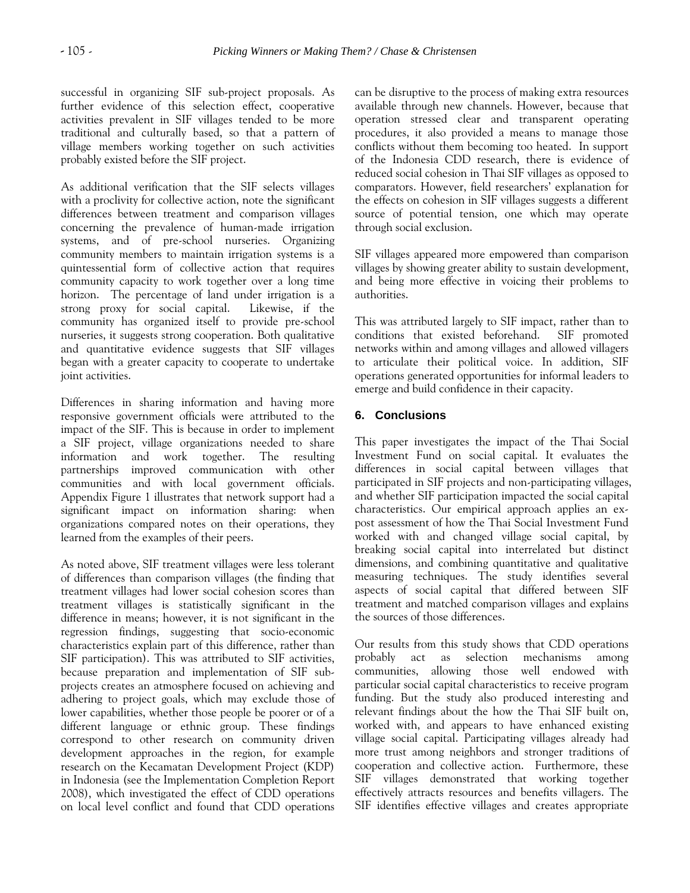successful in organizing SIF sub-project proposals. As further evidence of this selection effect, cooperative activities prevalent in SIF villages tended to be more traditional and culturally based, so that a pattern of village members working together on such activities probably existed before the SIF project.

As additional verification that the SIF selects villages with a proclivity for collective action, note the significant differences between treatment and comparison villages concerning the prevalence of human-made irrigation systems, and of pre-school nurseries. Organizing community members to maintain irrigation systems is a quintessential form of collective action that requires community capacity to work together over a long time horizon. The percentage of land under irrigation is a strong proxy for social capital. Likewise, if the community has organized itself to provide pre-school nurseries, it suggests strong cooperation. Both qualitative and quantitative evidence suggests that SIF villages began with a greater capacity to cooperate to undertake joint activities.

Differences in sharing information and having more responsive government officials were attributed to the impact of the SIF. This is because in order to implement a SIF project, village organizations needed to share information and work together. The resulting partnerships improved communication with other communities and with local government officials. Appendix Figure 1 illustrates that network support had a significant impact on information sharing: when organizations compared notes on their operations, they learned from the examples of their peers.

As noted above, SIF treatment villages were less tolerant of differences than comparison villages (the finding that treatment villages had lower social cohesion scores than treatment villages is statistically significant in the difference in means; however, it is not significant in the regression findings, suggesting that socio-economic characteristics explain part of this difference, rather than SIF participation). This was attributed to SIF activities, because preparation and implementation of SIF subprojects creates an atmosphere focused on achieving and adhering to project goals, which may exclude those of lower capabilities, whether those people be poorer or of a different language or ethnic group. These findings correspond to other research on community driven development approaches in the region, for example research on the Kecamatan Development Project (KDP) in Indonesia (see the Implementation Completion Report 2008), which investigated the effect of CDD operations on local level conflict and found that CDD operations

can be disruptive to the process of making extra resources available through new channels. However, because that operation stressed clear and transparent operating procedures, it also provided a means to manage those conflicts without them becoming too heated. In support of the Indonesia CDD research, there is evidence of reduced social cohesion in Thai SIF villages as opposed to comparators. However, field researchers' explanation for the effects on cohesion in SIF villages suggests a different source of potential tension, one which may operate through social exclusion.

SIF villages appeared more empowered than comparison villages by showing greater ability to sustain development, and being more effective in voicing their problems to authorities.

This was attributed largely to SIF impact, rather than to conditions that existed beforehand. SIF promoted networks within and among villages and allowed villagers to articulate their political voice. In addition, SIF operations generated opportunities for informal leaders to emerge and build confidence in their capacity.

## **6. Conclusions**

This paper investigates the impact of the Thai Social Investment Fund on social capital. It evaluates the differences in social capital between villages that participated in SIF projects and non-participating villages, and whether SIF participation impacted the social capital characteristics. Our empirical approach applies an expost assessment of how the Thai Social Investment Fund worked with and changed village social capital, by breaking social capital into interrelated but distinct dimensions, and combining quantitative and qualitative measuring techniques. The study identifies several aspects of social capital that differed between SIF treatment and matched comparison villages and explains the sources of those differences.

Our results from this study shows that CDD operations probably act as selection mechanisms among communities, allowing those well endowed with particular social capital characteristics to receive program funding. But the study also produced interesting and relevant findings about the how the Thai SIF built on, worked with, and appears to have enhanced existing village social capital. Participating villages already had more trust among neighbors and stronger traditions of cooperation and collective action. Furthermore, these SIF villages demonstrated that working together effectively attracts resources and benefits villagers. The SIF identifies effective villages and creates appropriate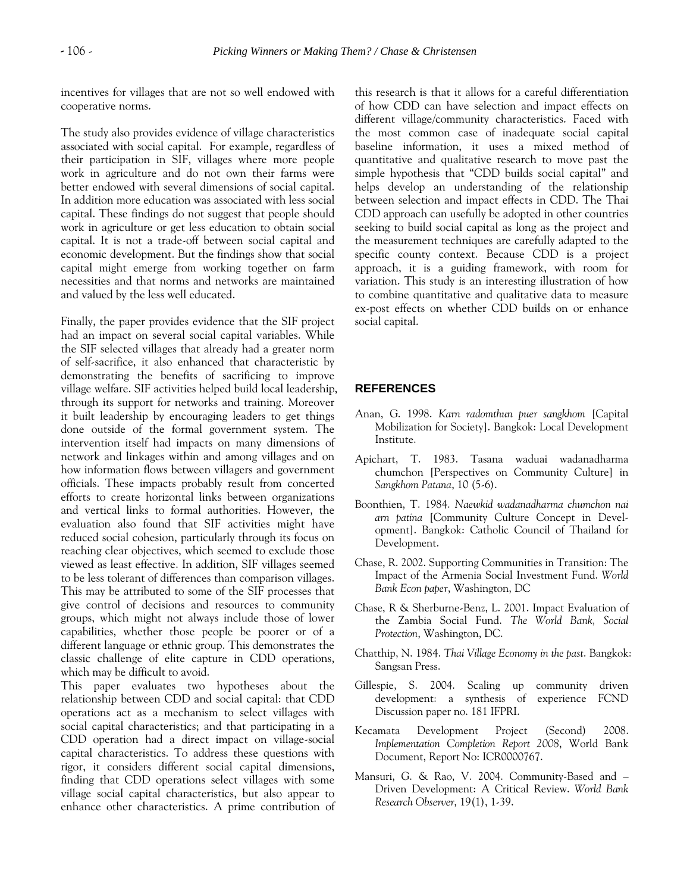incentives for villages that are not so well endowed with cooperative norms.

The study also provides evidence of village characteristics associated with social capital. For example, regardless of their participation in SIF, villages where more people work in agriculture and do not own their farms were better endowed with several dimensions of social capital. In addition more education was associated with less social capital. These findings do not suggest that people should work in agriculture or get less education to obtain social capital. It is not a trade-off between social capital and economic development. But the findings show that social capital might emerge from working together on farm necessities and that norms and networks are maintained and valued by the less well educated.

Finally, the paper provides evidence that the SIF project had an impact on several social capital variables. While the SIF selected villages that already had a greater norm of self-sacrifice, it also enhanced that characteristic by demonstrating the benefits of sacrificing to improve village welfare. SIF activities helped build local leadership, through its support for networks and training. Moreover it built leadership by encouraging leaders to get things done outside of the formal government system. The intervention itself had impacts on many dimensions of network and linkages within and among villages and on how information flows between villagers and government officials. These impacts probably result from concerted efforts to create horizontal links between organizations and vertical links to formal authorities. However, the evaluation also found that SIF activities might have reduced social cohesion, particularly through its focus on reaching clear objectives, which seemed to exclude those viewed as least effective. In addition, SIF villages seemed to be less tolerant of differences than comparison villages. This may be attributed to some of the SIF processes that give control of decisions and resources to community groups, which might not always include those of lower capabilities, whether those people be poorer or of a different language or ethnic group. This demonstrates the classic challenge of elite capture in CDD operations, which may be difficult to avoid.

This paper evaluates two hypotheses about the relationship between CDD and social capital: that CDD operations act as a mechanism to select villages with social capital characteristics; and that participating in a CDD operation had a direct impact on village-social capital characteristics. To address these questions with rigor, it considers different social capital dimensions, finding that CDD operations select villages with some village social capital characteristics, but also appear to enhance other characteristics. A prime contribution of this research is that it allows for a careful differentiation of how CDD can have selection and impact effects on different village/community characteristics. Faced with the most common case of inadequate social capital baseline information, it uses a mixed method of quantitative and qualitative research to move past the simple hypothesis that "CDD builds social capital" and helps develop an understanding of the relationship between selection and impact effects in CDD. The Thai CDD approach can usefully be adopted in other countries seeking to build social capital as long as the project and the measurement techniques are carefully adapted to the specific county context. Because CDD is a project approach, it is a guiding framework, with room for variation. This study is an interesting illustration of how to combine quantitative and qualitative data to measure ex-post effects on whether CDD builds on or enhance social capital.

#### **REFERENCES**

- Anan, G. 1998. *Karn radomthun puer sangkhom* [Capital Mobilization for Society]. Bangkok: Local Development Institute.
- Apichart, T. 1983. Tasana waduai wadanadharma chumchon [Perspectives on Community Culture] in *Sangkhom Patana*, 10 (5-6).
- Boonthien, T. 1984. *Naewkid wadanadharma chumchon nai arn patina* [Community Culture Concept in Development]. Bangkok: Catholic Council of Thailand for Development.
- Chase, R. 2002. Supporting Communities in Transition: The Impact of the Armenia Social Investment Fund. *World Bank Econ paper*, Washington, DC
- Chase, R & Sherburne-Benz, L. 2001. Impact Evaluation of the Zambia Social Fund. *The World Bank, Social Protection*, Washington, DC.
- Chatthip, N. 1984. *Thai Village Economy in the past*. Bangkok: Sangsan Press.
- Gillespie, S. 2004. Scaling up community driven development: a synthesis of experience FCND Discussion paper no. 181 IFPRI.
- Kecamata Development Project (Second) 2008. *Implementation Completion Report 2008*, World Bank Document, Report No: ICR0000767.
- Mansuri, G. & Rao, V. 2004. Community-Based and Driven Development: A Critical Review. *World Bank Research Observer,* 19(1), 1-39.